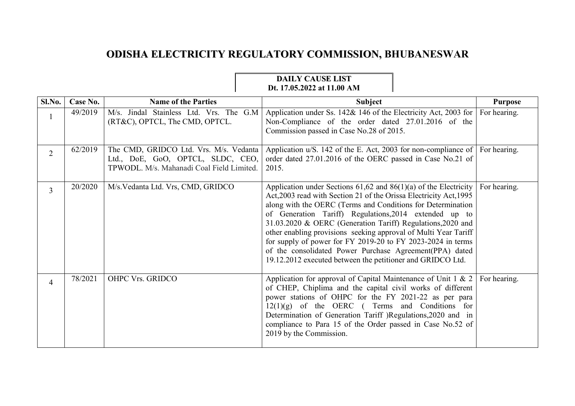## **ODISHA ELECTRICITY REGULATORY COMMISSION, BHUBANESWAR**

## **DAILY CAUSE LIST Dt. 17.05.2022 at 11.00 AM**

| Sl.No.         | Case No. | <b>Name of the Parties</b>                                                                                               | <b>Subject</b>                                                                                                                                                                                                                                                                                                                                                                                                                                                                                                                                                                                | <b>Purpose</b> |
|----------------|----------|--------------------------------------------------------------------------------------------------------------------------|-----------------------------------------------------------------------------------------------------------------------------------------------------------------------------------------------------------------------------------------------------------------------------------------------------------------------------------------------------------------------------------------------------------------------------------------------------------------------------------------------------------------------------------------------------------------------------------------------|----------------|
|                | 49/2019  | M/s. Jindal Stainless Ltd. Vrs. The G.M<br>(RT&C), OPTCL, The CMD, OPTCL.                                                | Application under Ss. 142& 146 of the Electricity Act, 2003 for<br>Non-Compliance of the order dated 27.01.2016 of the<br>Commission passed in Case No.28 of 2015.                                                                                                                                                                                                                                                                                                                                                                                                                            | For hearing.   |
| $\overline{2}$ | 62/2019  | The CMD, GRIDCO Ltd. Vrs. M/s. Vedanta<br>Ltd., DoE, GoO, OPTCL, SLDC, CEO,<br>TPWODL. M/s. Mahanadi Coal Field Limited. | Application u/S. 142 of the E. Act, 2003 for non-compliance of<br>order dated 27.01.2016 of the OERC passed in Case No.21 of<br>2015.                                                                                                                                                                                                                                                                                                                                                                                                                                                         | For hearing.   |
| $\overline{3}$ | 20/2020  | M/s. Vedanta Ltd. Vrs, CMD, GRIDCO                                                                                       | Application under Sections $61,62$ and $86(1)(a)$ of the Electricity<br>Act, 2003 read with Section 21 of the Orissa Electricity Act, 1995<br>along with the OERC (Terms and Conditions for Determination<br>of Generation Tariff) Regulations, 2014 extended up to<br>31.03.2020 & OERC (Generation Tariff) Regulations, 2020 and<br>other enabling provisions seeking approval of Multi Year Tariff<br>for supply of power for FY 2019-20 to FY 2023-2024 in terms<br>of the consolidated Power Purchase Agreement(PPA) dated<br>19.12.2012 executed between the petitioner and GRIDCO Ltd. | For hearing.   |
| 4              | 78/2021  | OHPC Vrs. GRIDCO                                                                                                         | Application for approval of Capital Maintenance of Unit $1 \& 2$<br>of CHEP, Chiplima and the capital civil works of different<br>power stations of OHPC for the FY 2021-22 as per para<br>$12(1)(g)$ of the OERC (Terms and Conditions for<br>Determination of Generation Tariff )Regulations, 2020 and in<br>compliance to Para 15 of the Order passed in Case No.52 of<br>2019 by the Commission.                                                                                                                                                                                          | For hearing.   |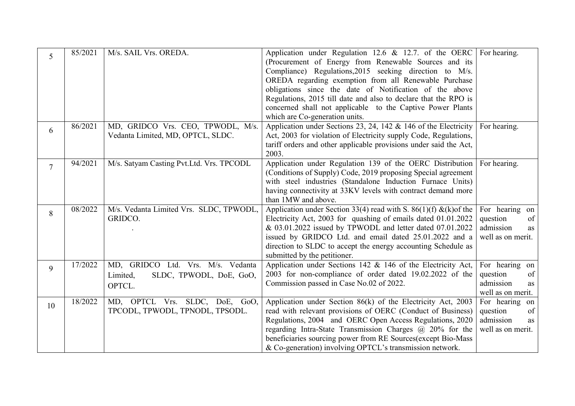| 5              | 85/2021 | M/s. SAIL Vrs. OREDA.                                                              | Application under Regulation 12.6 & 12.7. of the OERC<br>(Procurement of Energy from Renewable Sources and its<br>Compliance) Regulations, 2015 seeking direction to M/s.<br>OREDA regarding exemption from all Renewable Purchase<br>obligations since the date of Notification of the above<br>Regulations, 2015 till date and also to declare that the RPO is<br>concerned shall not applicable to the Captive Power Plants<br>which are Co-generation units. | For hearing.                                                             |
|----------------|---------|------------------------------------------------------------------------------------|------------------------------------------------------------------------------------------------------------------------------------------------------------------------------------------------------------------------------------------------------------------------------------------------------------------------------------------------------------------------------------------------------------------------------------------------------------------|--------------------------------------------------------------------------|
| 6              | 86/2021 | MD, GRIDCO Vrs. CEO, TPWODL, M/s.<br>Vedanta Limited, MD, OPTCL, SLDC.             | Application under Sections 23, 24, 142 $\&$ 146 of the Electricity<br>Act, 2003 for violation of Electricity supply Code, Regulations,<br>tariff orders and other applicable provisions under said the Act,<br>2003.                                                                                                                                                                                                                                             | For hearing.                                                             |
| $\overline{7}$ | 94/2021 | M/s. Satyam Casting Pvt.Ltd. Vrs. TPCODL                                           | Application under Regulation 139 of the OERC Distribution For hearing.<br>(Conditions of Supply) Code, 2019 proposing Special agreement<br>with steel industries (Standalone Induction Furnace Units)<br>having connectivity at 33KV levels with contract demand more<br>than 1MW and above.                                                                                                                                                                     |                                                                          |
| 8              | 08/2022 | M/s. Vedanta Limited Vrs. SLDC, TPWODL,<br>GRIDCO.                                 | Application under Section 33(4) read with S. 86(1)(f) & (k) of the<br>Electricity Act, 2003 for quashing of emails dated 01.01.2022<br>& 03.01.2022 issued by TPWODL and letter dated 07.01.2022<br>issued by GRIDCO Ltd. and email dated 25.01.2022 and a<br>direction to SLDC to accept the energy accounting Schedule as<br>submitted by the petitioner.                                                                                                      | For hearing on<br>of<br>question<br>admission<br>as<br>well as on merit. |
| 9              | 17/2022 | MD, GRIDCO Ltd. Vrs. M/s. Vedanta<br>SLDC, TPWODL, DoE, GoO,<br>Limited,<br>OPTCL. | Application under Sections 142 $&$ 146 of the Electricity Act,<br>2003 for non-compliance of order dated 19.02.2022 of the<br>Commission passed in Case No.02 of 2022.                                                                                                                                                                                                                                                                                           | For hearing on<br>of<br>question<br>admission<br>as<br>well as on merit. |
| 10             | 18/2022 | MD, OPTCL Vrs. SLDC, DoE, GoO,<br>TPCODL, TPWODL, TPNODL, TPSODL.                  | Application under Section 86(k) of the Electricity Act, 2003<br>read with relevant provisions of OERC (Conduct of Business)<br>Regulations, 2004 and OERC Open Access Regulations, 2020<br>regarding Intra-State Transmission Charges $\omega$ 20% for the<br>beneficiaries sourcing power from RE Sources(except Bio-Mass<br>& Co-generation) involving OPTCL's transmission network.                                                                           | For hearing on<br>of<br>question<br>admission<br>as<br>well as on merit. |